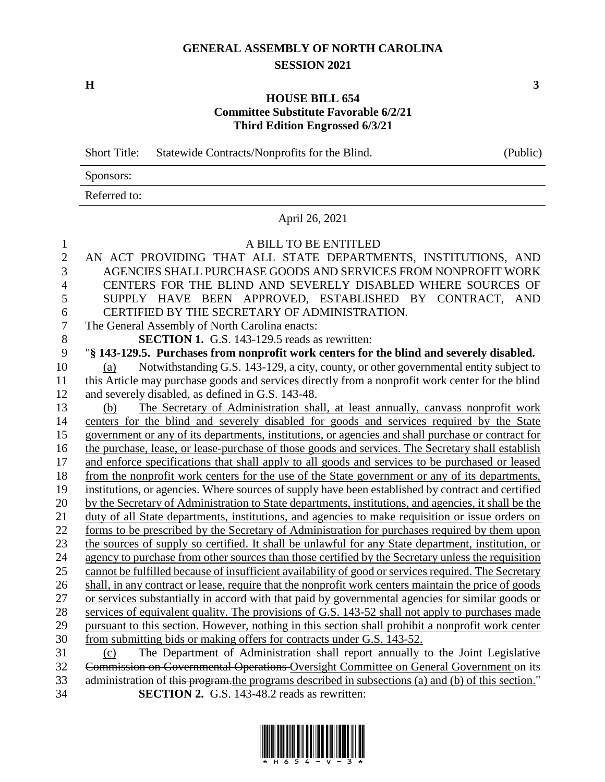## **GENERAL ASSEMBLY OF NORTH CAROLINA SESSION 2021**

**H 3**

## **HOUSE BILL 654 Committee Substitute Favorable 6/2/21 Third Edition Engrossed 6/3/21**

Short Title: Statewide Contracts/Nonprofits for the Blind. (Public)

| Sponsors:    |  |
|--------------|--|
| Referred to: |  |

April 26, 2021

## A BILL TO BE ENTITLED

 AN ACT PROVIDING THAT ALL STATE DEPARTMENTS, INSTITUTIONS, AND AGENCIES SHALL PURCHASE GOODS AND SERVICES FROM NONPROFIT WORK CENTERS FOR THE BLIND AND SEVERELY DISABLED WHERE SOURCES OF SUPPLY HAVE BEEN APPROVED, ESTABLISHED BY CONTRACT, AND CERTIFIED BY THE SECRETARY OF ADMINISTRATION. The General Assembly of North Carolina enacts: **SECTION 1.** G.S. 143-129.5 reads as rewritten: "**§ 143-129.5. Purchases from nonprofit work centers for the blind and severely disabled.** (a) Notwithstanding G.S. 143-129, a city, county, or other governmental entity subject to this Article may purchase goods and services directly from a nonprofit work center for the blind and severely disabled, as defined in G.S. 143-48. (b) The Secretary of Administration shall, at least annually, canvass nonprofit work centers for the blind and severely disabled for goods and services required by the State government or any of its departments, institutions, or agencies and shall purchase or contract for the purchase, lease, or lease-purchase of those goods and services. The Secretary shall establish and enforce specifications that shall apply to all goods and services to be purchased or leased from the nonprofit work centers for the use of the State government or any of its departments, institutions, or agencies. Where sources of supply have been established by contract and certified by the Secretary of Administration to State departments, institutions, and agencies, it shall be the duty of all State departments, institutions, and agencies to make requisition or issue orders on forms to be prescribed by the Secretary of Administration for purchases required by them upon the sources of supply so certified. It shall be unlawful for any State department, institution, or agency to purchase from other sources than those certified by the Secretary unless the requisition cannot be fulfilled because of insufficient availability of good or services required. The Secretary shall, in any contract or lease, require that the nonprofit work centers maintain the price of goods or services substantially in accord with that paid by governmental agencies for similar goods or services of equivalent quality. The provisions of G.S. 143-52 shall not apply to purchases made pursuant to this section. However, nothing in this section shall prohibit a nonprofit work center from submitting bids or making offers for contracts under G.S. 143-52. (c) The Department of Administration shall report annually to the Joint Legislative 32 Commission on Governmental Operations Oversight Committee on General Government on its 33 administration of this program, the programs described in subsections (a) and (b) of this section."

**SECTION 2.** G.S. 143-48.2 reads as rewritten: